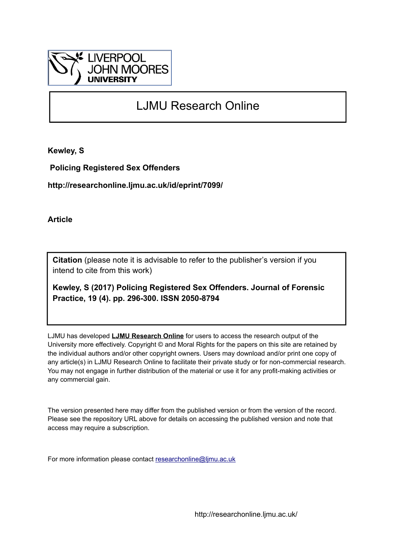

## LJMU Research Online

**Kewley, S**

 **Policing Registered Sex Offenders**

**http://researchonline.ljmu.ac.uk/id/eprint/7099/**

**Article**

**Citation** (please note it is advisable to refer to the publisher's version if you intend to cite from this work)

**Kewley, S (2017) Policing Registered Sex Offenders. Journal of Forensic Practice, 19 (4). pp. 296-300. ISSN 2050-8794** 

LJMU has developed **[LJMU Research Online](http://researchonline.ljmu.ac.uk/)** for users to access the research output of the University more effectively. Copyright © and Moral Rights for the papers on this site are retained by the individual authors and/or other copyright owners. Users may download and/or print one copy of any article(s) in LJMU Research Online to facilitate their private study or for non-commercial research. You may not engage in further distribution of the material or use it for any profit-making activities or any commercial gain.

The version presented here may differ from the published version or from the version of the record. Please see the repository URL above for details on accessing the published version and note that access may require a subscription.

For more information please contact [researchonline@ljmu.ac.uk](mailto:researchonline@ljmu.ac.uk)

http://researchonline.ljmu.ac.uk/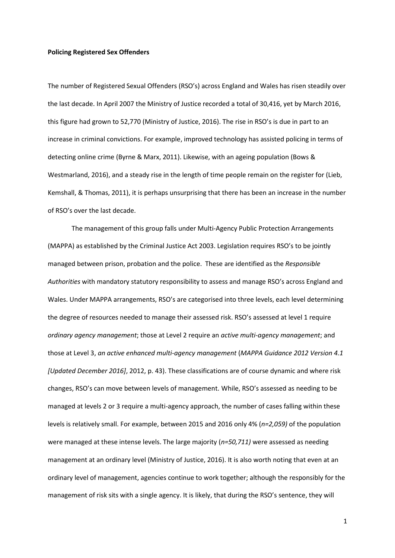## **Policing Registered Sex Offenders**

The number of Registered Sexual Offenders (RSO's) across England and Wales has risen steadily over the last decade. In April 2007 the Ministry of Justice recorded a total of 30,416, yet by March 2016, this figure had grown to 52,770 (Ministry of Justice, 2016). The rise in RSO's is due in part to an increase in criminal convictions. For example, improved technology has assisted policing in terms of detecting online crime (Byrne & Marx, 2011). Likewise, with an ageing population (Bows & Westmarland, 2016), and a steady rise in the length of time people remain on the register for (Lieb, Kemshall, & Thomas, 2011), it is perhaps unsurprising that there has been an increase in the number of RSO's over the last decade.

The management of this group falls under Multi-Agency Public Protection Arrangements (MAPPA) as established by the Criminal Justice Act 2003. Legislation requires RSO's to be jointly managed between prison, probation and the police. These are identified as the *Responsible Authorities* with mandatory statutory responsibility to assess and manage RSO's across England and Wales. Under MAPPA arrangements, RSO's are categorised into three levels, each level determining the degree of resources needed to manage their assessed risk. RSO's assessed at level 1 require *ordinary agency management*; those at Level 2 require an *active multi-agency management*; and those at Level 3, *an active enhanced multi-agency management* (*MAPPA Guidance 2012 Version 4.1 [Updated December 2016]*, 2012, p. 43). These classifications are of course dynamic and where risk changes, RSO's can move between levels of management. While, RSO's assessed as needing to be managed at levels 2 or 3 require a multi-agency approach, the number of cases falling within these levels is relatively small. For example, between 2015 and 2016 only 4% (*n=2,059)* of the population were managed at these intense levels. The large majority (*n=50,711)* were assessed as needing management at an ordinary level (Ministry of Justice, 2016). It is also worth noting that even at an ordinary level of management, agencies continue to work together; although the responsibly for the management of risk sits with a single agency. It is likely, that during the RSO's sentence, they will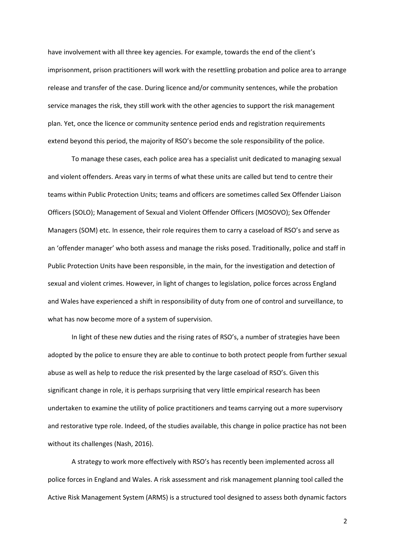have involvement with all three key agencies. For example, towards the end of the client's imprisonment, prison practitioners will work with the resettling probation and police area to arrange release and transfer of the case. During licence and/or community sentences, while the probation service manages the risk, they still work with the other agencies to support the risk management plan. Yet, once the licence or community sentence period ends and registration requirements extend beyond this period, the majority of RSO's become the sole responsibility of the police.

To manage these cases, each police area has a specialist unit dedicated to managing sexual and violent offenders. Areas vary in terms of what these units are called but tend to centre their teams within Public Protection Units; teams and officers are sometimes called Sex Offender Liaison Officers (SOLO); Management of Sexual and Violent Offender Officers (MOSOVO); Sex Offender Managers (SOM) etc. In essence, their role requires them to carry a caseload of RSO's and serve as an 'offender manager' who both assess and manage the risks posed. Traditionally, police and staff in Public Protection Units have been responsible, in the main, for the investigation and detection of sexual and violent crimes. However, in light of changes to legislation, police forces across England and Wales have experienced a shift in responsibility of duty from one of control and surveillance, to what has now become more of a system of supervision.

In light of these new duties and the rising rates of RSO's, a number of strategies have been adopted by the police to ensure they are able to continue to both protect people from further sexual abuse as well as help to reduce the risk presented by the large caseload of RSO's. Given this significant change in role, it is perhaps surprising that very little empirical research has been undertaken to examine the utility of police practitioners and teams carrying out a more supervisory and restorative type role. Indeed, of the studies available, this change in police practice has not been without its challenges (Nash, 2016).

A strategy to work more effectively with RSO's has recently been implemented across all police forces in England and Wales. A risk assessment and risk management planning tool called the Active Risk Management System (ARMS) is a structured tool designed to assess both dynamic factors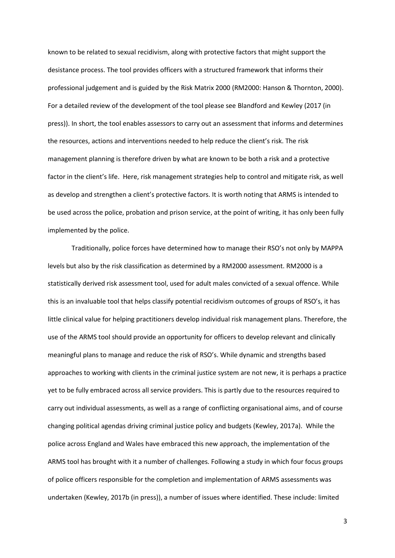known to be related to sexual recidivism, along with protective factors that might support the desistance process. The tool provides officers with a structured framework that informs their professional judgement and is guided by the Risk Matrix 2000 (RM2000: Hanson & Thornton, 2000). For a detailed review of the development of the tool please see Blandford and Kewley (2017 (in press)). In short, the tool enables assessors to carry out an assessment that informs and determines the resources, actions and interventions needed to help reduce the client's risk. The risk management planning is therefore driven by what are known to be both a risk and a protective factor in the client's life. Here, risk management strategies help to control and mitigate risk, as well as develop and strengthen a client's protective factors. It is worth noting that ARMS is intended to be used across the police, probation and prison service, at the point of writing, it has only been fully implemented by the police.

Traditionally, police forces have determined how to manage their RSO's not only by MAPPA levels but also by the risk classification as determined by a RM2000 assessment. RM2000 is a statistically derived risk assessment tool, used for adult males convicted of a sexual offence. While this is an invaluable tool that helps classify potential recidivism outcomes of groups of RSO's, it has little clinical value for helping practitioners develop individual risk management plans. Therefore, the use of the ARMS tool should provide an opportunity for officers to develop relevant and clinically meaningful plans to manage and reduce the risk of RSO's. While dynamic and strengths based approaches to working with clients in the criminal justice system are not new, it is perhaps a practice yet to be fully embraced across all service providers. This is partly due to the resources required to carry out individual assessments, as well as a range of conflicting organisational aims, and of course changing political agendas driving criminal justice policy and budgets (Kewley, 2017a). While the police across England and Wales have embraced this new approach, the implementation of the ARMS tool has brought with it a number of challenges. Following a study in which four focus groups of police officers responsible for the completion and implementation of ARMS assessments was undertaken (Kewley, 2017b (in press)), a number of issues where identified. These include: limited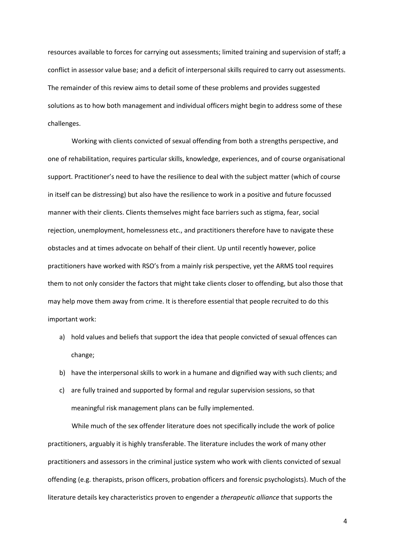resources available to forces for carrying out assessments; limited training and supervision of staff; a conflict in assessor value base; and a deficit of interpersonal skills required to carry out assessments. The remainder of this review aims to detail some of these problems and provides suggested solutions as to how both management and individual officers might begin to address some of these challenges.

Working with clients convicted of sexual offending from both a strengths perspective, and one of rehabilitation, requires particular skills, knowledge, experiences, and of course organisational support. Practitioner's need to have the resilience to deal with the subject matter (which of course in itself can be distressing) but also have the resilience to work in a positive and future focussed manner with their clients. Clients themselves might face barriers such as stigma, fear, social rejection, unemployment, homelessness etc., and practitioners therefore have to navigate these obstacles and at times advocate on behalf of their client. Up until recently however, police practitioners have worked with RSO's from a mainly risk perspective, yet the ARMS tool requires them to not only consider the factors that might take clients closer to offending, but also those that may help move them away from crime. It is therefore essential that people recruited to do this important work:

- a) hold values and beliefs that support the idea that people convicted of sexual offences can change;
- b) have the interpersonal skills to work in a humane and dignified way with such clients; and
- c) are fully trained and supported by formal and regular supervision sessions, so that meaningful risk management plans can be fully implemented.

While much of the sex offender literature does not specifically include the work of police practitioners, arguably it is highly transferable. The literature includes the work of many other practitioners and assessors in the criminal justice system who work with clients convicted of sexual offending (e.g. therapists, prison officers, probation officers and forensic psychologists). Much of the literature details key characteristics proven to engender a *therapeutic alliance* that supports the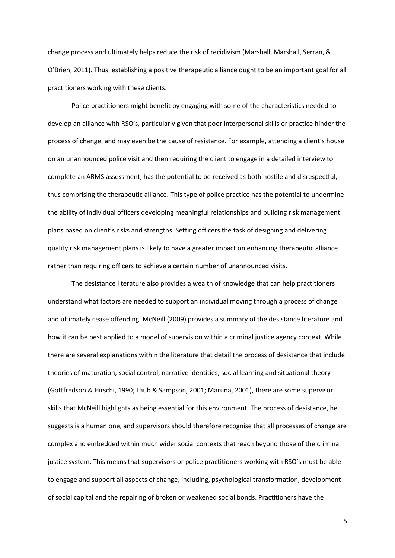change process and ultimately helps reduce the risk of recidivism (Marshall, Marshall, Serran, & O'Brien, 2011). Thus, establishing a positive therapeutic alliance ought to be an important goal for all practitioners working with these clients.

Police practitioners might benefit by engaging with some of the characteristics needed to develop an alliance with RSO's, particularly given that poor interpersonal skills or practice hinder the process of change, and may even be the cause of resistance. For example, attending a client's house on an unannounced police visit and then requiring the client to engage in a detailed interview to complete an ARMS assessment, has the potential to be received as both hostile and disrespectful, thus comprising the therapeutic alliance. This type of police practice has the potential to undermine the ability of individual officers developing meaningful relationships and building risk management plans based on client's risks and strengths. Setting officers the task of designing and delivering quality risk management plans is likely to have a greater impact on enhancing therapeutic alliance rather than requiring officers to achieve a certain number of unannounced visits.

The desistance literature also provides a wealth of knowledge that can help practitioners understand what factors are needed to support an individual moving through a process of change and ultimately cease offending. McNeill (2009) provides a summary of the desistance literature and how it can be best applied to a model of supervision within a criminal justice agency context. While there are several explanations within the literature that detail the process of desistance that include theories of maturation, social control, narrative identities, social learning and situational theory (Gottfredson & Hirschi, 1990; Laub & Sampson, 2001; Maruna, 2001), there are some supervisor skills that McNeill highlights as being essential for this environment. The process of desistance, he suggests is a human one, and supervisors should therefore recognise that all processes of change are complex and embedded within much wider social contexts that reach beyond those of the criminal justice system. This means that supervisors or police practitioners working with RSO's must be able to engage and support all aspects of change, including, psychological transformation, development of social capital and the repairing of broken or weakened social bonds. Practitioners have the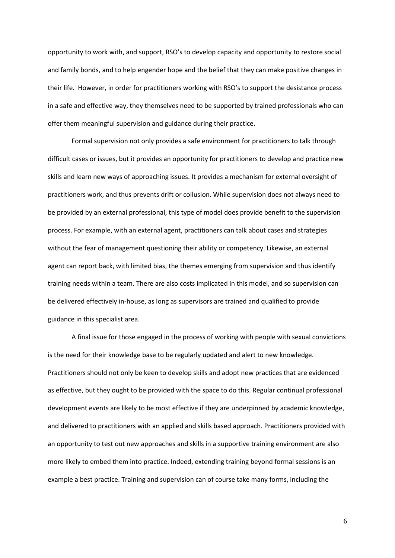opportunity to work with, and support, RSO's to develop capacity and opportunity to restore social and family bonds, and to help engender hope and the belief that they can make positive changes in their life. However, in order for practitioners working with RSO's to support the desistance process in a safe and effective way, they themselves need to be supported by trained professionals who can offer them meaningful supervision and guidance during their practice.

Formal supervision not only provides a safe environment for practitioners to talk through difficult cases or issues, but it provides an opportunity for practitioners to develop and practice new skills and learn new ways of approaching issues. It provides a mechanism for external oversight of practitioners work, and thus prevents drift or collusion. While supervision does not always need to be provided by an external professional, this type of model does provide benefit to the supervision process. For example, with an external agent, practitioners can talk about cases and strategies without the fear of management questioning their ability or competency. Likewise, an external agent can report back, with limited bias, the themes emerging from supervision and thus identify training needs within a team. There are also costs implicated in this model, and so supervision can be delivered effectively in-house, as long as supervisors are trained and qualified to provide guidance in this specialist area.

A final issue for those engaged in the process of working with people with sexual convictions is the need for their knowledge base to be regularly updated and alert to new knowledge. Practitioners should not only be keen to develop skills and adopt new practices that are evidenced as effective, but they ought to be provided with the space to do this. Regular continual professional development events are likely to be most effective if they are underpinned by academic knowledge, and delivered to practitioners with an applied and skills based approach. Practitioners provided with an opportunity to test out new approaches and skills in a supportive training environment are also more likely to embed them into practice. Indeed, extending training beyond formal sessions is an example a best practice. Training and supervision can of course take many forms, including the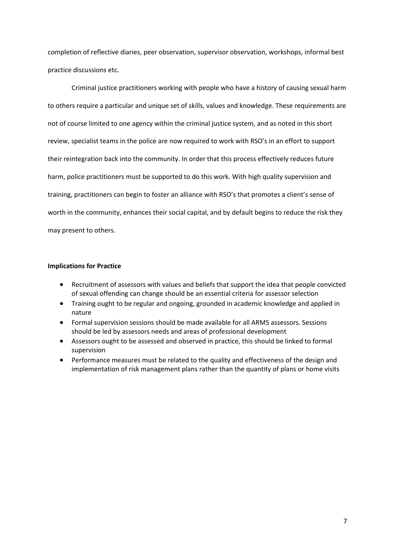completion of reflective diaries, peer observation, supervisor observation, workshops, informal best practice discussions etc.

Criminal justice practitioners working with people who have a history of causing sexual harm to others require a particular and unique set of skills, values and knowledge. These requirements are not of course limited to one agency within the criminal justice system, and as noted in this short review, specialist teams in the police are now required to work with RSO's in an effort to support their reintegration back into the community. In order that this process effectively reduces future harm, police practitioners must be supported to do this work. With high quality supervision and training, practitioners can begin to foster an alliance with RSO's that promotes a client's sense of worth in the community, enhances their social capital, and by default begins to reduce the risk they may present to others.

## **Implications for Practice**

- Recruitment of assessors with values and beliefs that support the idea that people convicted of sexual offending can change should be an essential criteria for assessor selection
- Training ought to be regular and ongoing, grounded in academic knowledge and applied in nature
- Formal supervision sessions should be made available for all ARMS assessors. Sessions should be led by assessors needs and areas of professional development
- Assessors ought to be assessed and observed in practice, this should be linked to formal supervision
- Performance measures must be related to the quality and effectiveness of the design and implementation of risk management plans rather than the quantity of plans or home visits